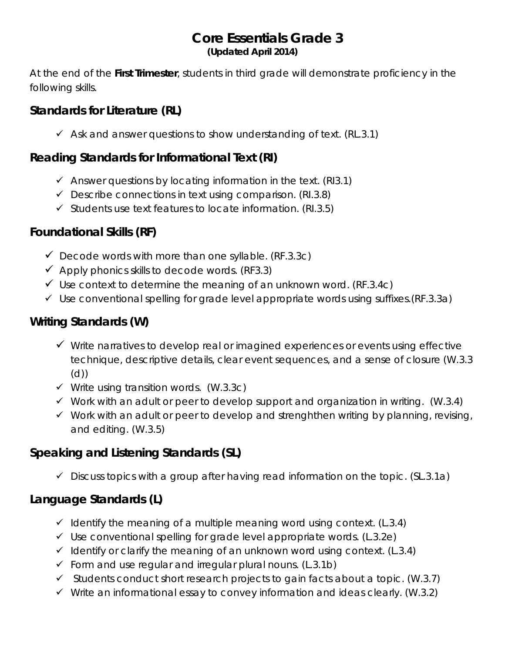#### **Core Essentials Grade 3 (Updated April 2014)**

At the end of the **First Trimester**, students in third grade will demonstrate proficiency in the following skills.

#### **Standards for Literature (RL)**

 $\checkmark$  Ask and answer questions to show understanding of text. (RL.3.1)

#### **Reading Standards for Informational Text (RI)**

- $\checkmark$  Answer questions by locating information in the text. (RI3.1)
- $\checkmark$  Describe connections in text using comparison. (RI.3.8)
- $\checkmark$  Students use text features to locate information. (RI.3.5)

### **Foundational Skills (RF)**

- $\checkmark$  Decode words with more than one syllable. (RF.3.3c)
- $\checkmark$  Apply phonics skills to decode words. (RF3.3)
- $\checkmark$  Use context to determine the meaning of an unknown word. (RF.3.4c)
- $\checkmark$  Use conventional spelling for grade level appropriate words using suffixes. (RF.3.3a)

# **Writing Standards (W)**

- $\checkmark$  Write narratives to develop real or imagined experiences or events using effective technique, descriptive details, clear event sequences, and a sense of closure [\(W.3.3](http://www.corestandards.org/ELA-Literacy/W/3/3/) (d))
- $\checkmark$  Write using transition words. (W.3.3c)
- $\checkmark$  Work with an adult or peer to develop support and organization in writing. (W.3.4)
- $\checkmark$  Work with an adult or peer to develop and strenghthen writing by planning, revising, and editing. (W.3.5)

# **Speaking and Listening Standards (SL)**

 $\checkmark$  Discuss topics with a group after having read information on the topic. (SL.3.1a)

### **Language Standards (L)**

- $\checkmark$  Identify the meaning of a multiple meaning word using context. (L.3.4)
- $\checkmark$  Use conventional spelling for grade level appropriate words. (L.3.2e)
- $\checkmark$  Identify or clarify the meaning of an unknown word using context. (L.3.4)
- $\checkmark$  Form and use regular and irregular plural nouns. (L.3.1b)
- $\checkmark$  Students conduct short research projects to gain facts about a topic. (W.3.7)
- $\checkmark$  Write an informational essay to convey information and ideas clearly. (W.3.2)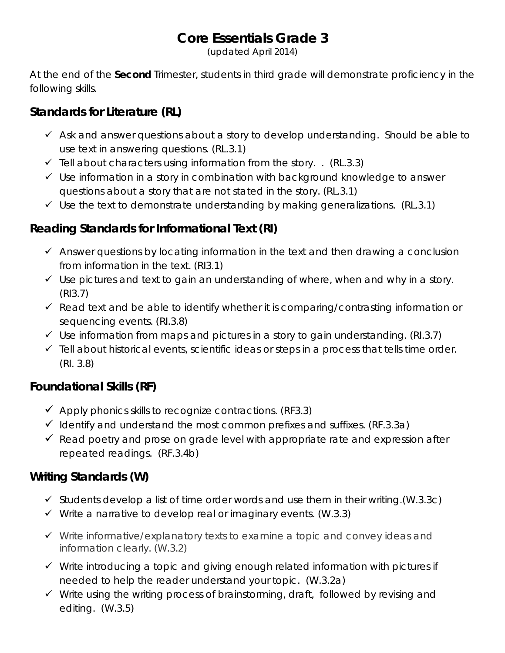# **Core Essentials Grade 3**

(updated April 2014)

At the end of the **Second** Trimester, students in third grade will demonstrate proficiency in the following skills.

#### **Standards for Literature (RL)**

- $\checkmark$  Ask and answer questions about a story to develop understanding. Should be able to use text in answering questions. (RL.3.1)
- $\checkmark$  Tell about characters using information from the story. . (RL.3.3)
- $\checkmark$  Use information in a story in combination with background knowledge to answer questions about a story that are not stated in the story. (RL.3.1)
- $\checkmark$  Use the text to demonstrate understanding by making generalizations. (RL.3.1)

### **Reading Standards for Informational Text (RI)**

- $\checkmark$  Answer questions by locating information in the text and then drawing a conclusion from information in the text. (RI3.1)
- $\checkmark$  Use pictures and text to gain an understanding of where, when and why in a story. (RI3.7)
- $\checkmark$  Read text and be able to identify whether it is comparing/contrasting information or sequencing events. (RI.3.8)
- $\checkmark$  Use information from maps and pictures in a story to gain understanding. (RI.3.7)
- $\checkmark$  Tell about historical events, scientific ideas or steps in a process that tells time order. (RI. 3.8)

### **Foundational Skills (RF)**

- $\checkmark$  Apply phonics skills to recognize contractions. (RF3.3)
- $\checkmark$  Identify and understand the most common prefixes and suffixes. (RF.3.3a)
- $\checkmark$  Read poetry and prose on grade level with appropriate rate and expression after repeated readings. (RF.3.4b)

### **Writing Standards (W)**

- $\checkmark$  Students develop a list of time order words and use them in their writing. (W.3.3c)
- $\checkmark$  Write a narrative to develop real or imaginary events. (W.3.3)
- $\checkmark$  Write informative/explanatory texts to examine a topic and convey ideas and information clearly. (W.3.2)
- $\checkmark$  Write introducing a topic and giving enough related information with pictures if needed to help the reader understand your topic. (W.3.2a)
- $\checkmark$  Write using the writing process of brainstorming, draft, followed by revising and editing. (W.3.5)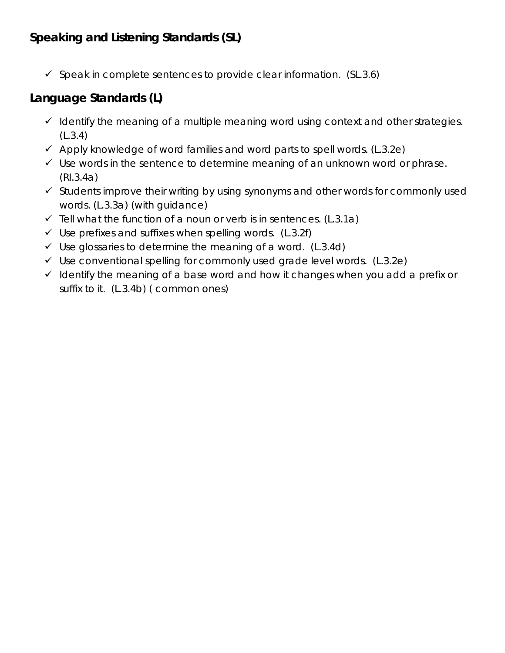### **Speaking and Listening Standards (SL)**

 $\checkmark$  Speak in complete sentences to provide clear information. (SL.3.6)

#### **Language Standards (L)**

- $\checkmark$  Identify the meaning of a multiple meaning word using context and other strategies. (L.3.4)
- $\checkmark$  Apply knowledge of word families and word parts to spell words. (L.3.2e)
- $\checkmark$  Use words in the sentence to determine meaning of an unknown word or phrase. (RI.3.4a)
- $\checkmark$  Students improve their writing by using synonyms and other words for commonly used words. (L.3.3a) (with guidance)
- $\checkmark$  Tell what the function of a noun or verb is in sentences. (L.3.1a)
- $\checkmark$  Use prefixes and suffixes when spelling words. (L.3.2f)
- $\checkmark$  Use glossaries to determine the meaning of a word. (L.3.4d)
- $\checkmark$  Use conventional spelling for commonly used grade level words. (L.3.2e)
- $\checkmark$  Identify the meaning of a base word and how it changes when you add a prefix or suffix to it. (L.3.4b) ( common ones)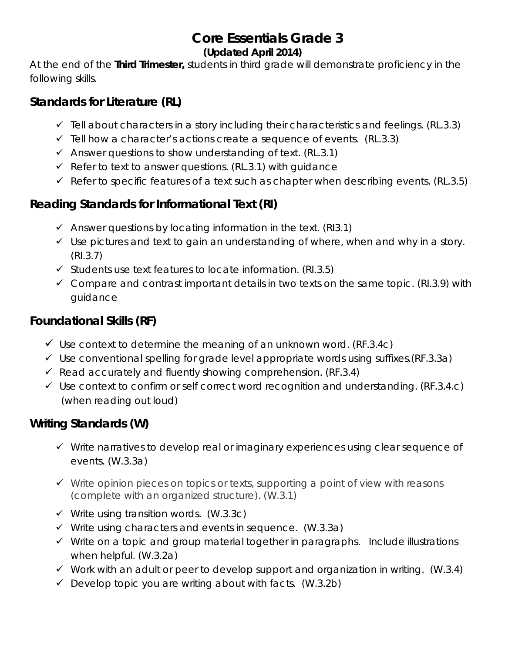# **Core Essentials Grade 3**

#### **(Updated April 2014)**

At the end of the **Third Trimester,** students in third grade will demonstrate proficiency in the following skills.

#### **Standards for Literature (RL)**

- $\checkmark$  Tell about characters in a story including their characteristics and feelings. (RL.3.3)
- $\checkmark$  Tell how a character's actions create a sequence of events. (RL.3.3)
- $\checkmark$  Answer questions to show understanding of text. (RL.3.1)
- $\checkmark$  Refer to text to answer questions. (RL.3.1) with guidance
- $\checkmark$  Refer to specific features of a text such as chapter when describing events. (RL.3.5)

#### **Reading Standards for Informational Text (RI)**

- $\checkmark$  Answer questions by locating information in the text. (RI3.1)
- $\checkmark$  Use pictures and text to gain an understanding of where, when and why in a story. (RI.3.7)
- $\checkmark$  Students use text features to locate information. (RI.3.5)
- $\checkmark$  Compare and contrast important details in two texts on the same topic. (RI.3.9) with guidance

#### **Foundational Skills (RF)**

- $\checkmark$  Use context to determine the meaning of an unknown word. (RF.3.4c)
- $\checkmark$  Use conventional spelling for grade level appropriate words using suffixes. (RF.3.3a)
- $\checkmark$  Read accurately and fluently showing comprehension. (RF.3.4)
- $\checkmark$  Use context to confirm or self correct word recognition and understanding. (RF.3.4.c) (when reading out loud)

### **Writing Standards (W)**

- $\checkmark$  Write narratives to develop real or imaginary experiences using clear sequence of events. (W.3.3a)
- $\checkmark$  Write opinion pieces on topics or texts, supporting a point of view with reasons (complete with an organized structure). (W.3.1)
- $\checkmark$  Write using transition words. (W.3.3c)
- $\checkmark$  Write using characters and events in sequence. (W.3.3a)
- $\checkmark$  Write on a topic and group material together in paragraphs. Include illustrations when helpful. (W.3.2a)
- $\checkmark$  Work with an adult or peer to develop support and organization in writing. (W.3.4)
- $\checkmark$  Develop topic you are writing about with facts. (W.3.2b)